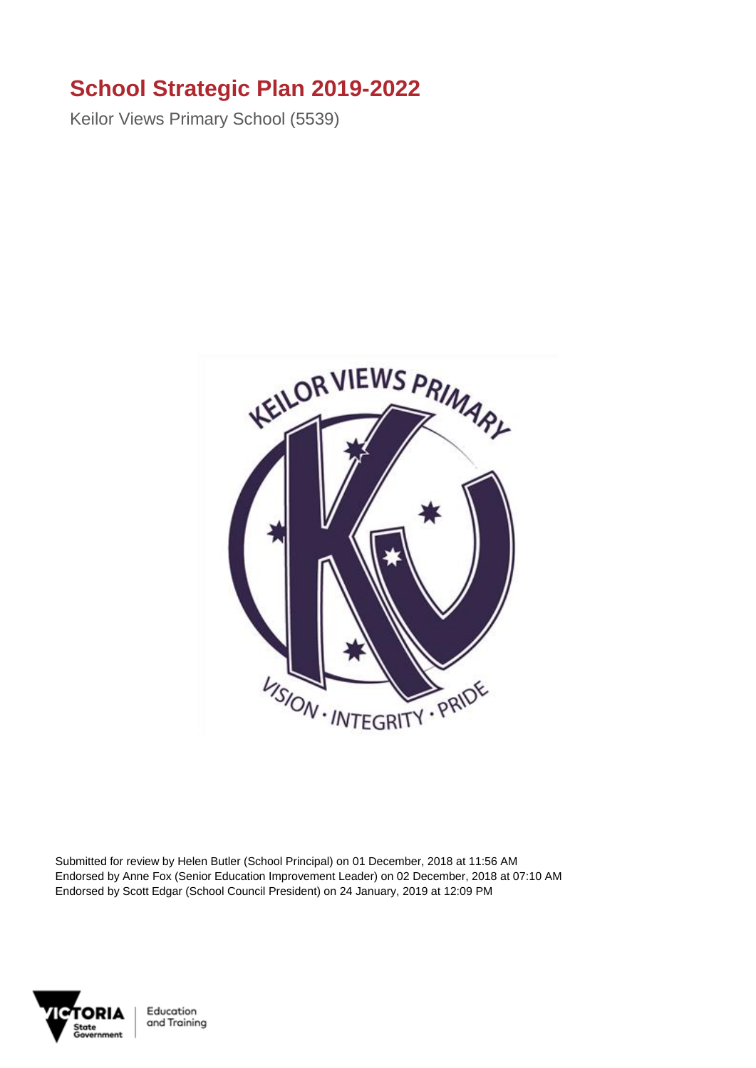## **School Strategic Plan 2019-2022**

Keilor Views Primary School (5539)



Submitted for review by Helen Butler (School Principal) on 01 December, 2018 at 11:56 AM Endorsed by Anne Fox (Senior Education Improvement Leader) on 02 December, 2018 at 07:10 AM Endorsed by Scott Edgar (School Council President) on 24 January, 2019 at 12:09 PM



Education and Training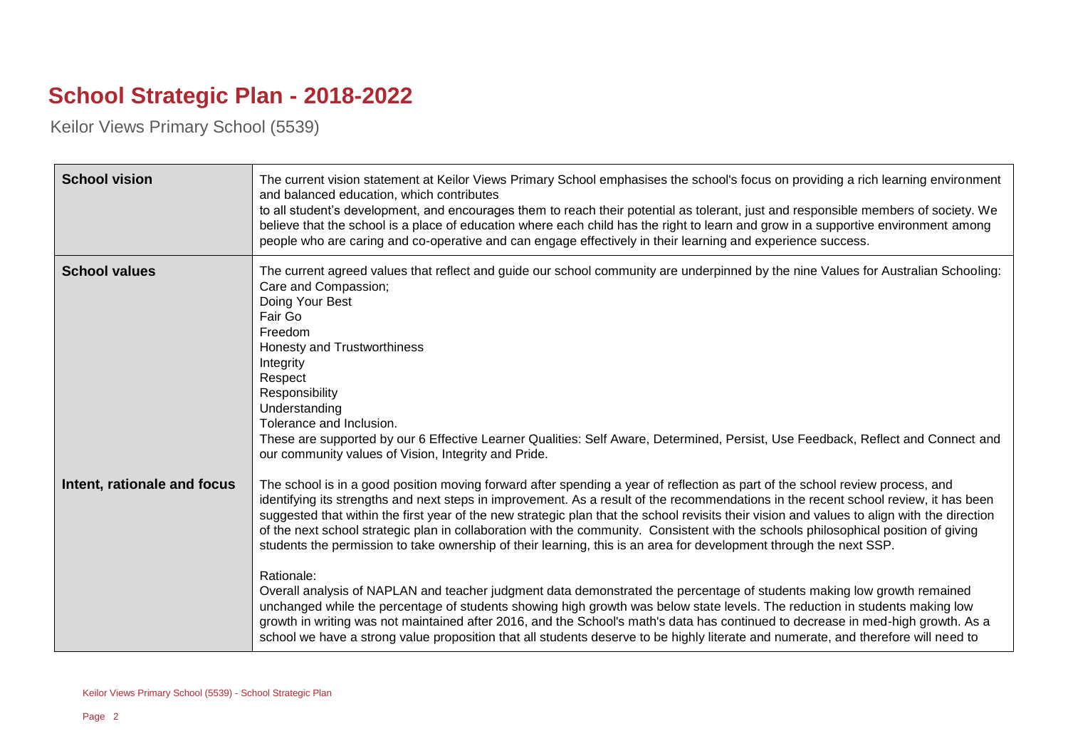## **School Strategic Plan - 2018-2022**

Keilor Views Primary School (5539)

| <b>School vision</b>        | The current vision statement at Keilor Views Primary School emphasises the school's focus on providing a rich learning environment<br>and balanced education, which contributes<br>to all student's development, and encourages them to reach their potential as tolerant, just and responsible members of society. We<br>believe that the school is a place of education where each child has the right to learn and grow in a supportive environment among<br>people who are caring and co-operative and can engage effectively in their learning and experience success.                                                                                                                                                                                                                                                                                                                                                                                                                                                                                                                                                                                                                                                         |
|-----------------------------|-------------------------------------------------------------------------------------------------------------------------------------------------------------------------------------------------------------------------------------------------------------------------------------------------------------------------------------------------------------------------------------------------------------------------------------------------------------------------------------------------------------------------------------------------------------------------------------------------------------------------------------------------------------------------------------------------------------------------------------------------------------------------------------------------------------------------------------------------------------------------------------------------------------------------------------------------------------------------------------------------------------------------------------------------------------------------------------------------------------------------------------------------------------------------------------------------------------------------------------|
| <b>School values</b>        | The current agreed values that reflect and guide our school community are underpinned by the nine Values for Australian Schooling:<br>Care and Compassion;<br>Doing Your Best<br>Fair Go<br>Freedom<br>Honesty and Trustworthiness<br>Integrity<br>Respect<br>Responsibility<br>Understanding<br>Tolerance and Inclusion.<br>These are supported by our 6 Effective Learner Qualities: Self Aware, Determined, Persist, Use Feedback, Reflect and Connect and<br>our community values of Vision, Integrity and Pride.                                                                                                                                                                                                                                                                                                                                                                                                                                                                                                                                                                                                                                                                                                               |
| Intent, rationale and focus | The school is in a good position moving forward after spending a year of reflection as part of the school review process, and<br>identifying its strengths and next steps in improvement. As a result of the recommendations in the recent school review, it has been<br>suggested that within the first year of the new strategic plan that the school revisits their vision and values to align with the direction<br>of the next school strategic plan in collaboration with the community. Consistent with the schools philosophical position of giving<br>students the permission to take ownership of their learning, this is an area for development through the next SSP.<br>Rationale:<br>Overall analysis of NAPLAN and teacher judgment data demonstrated the percentage of students making low growth remained<br>unchanged while the percentage of students showing high growth was below state levels. The reduction in students making low<br>growth in writing was not maintained after 2016, and the School's math's data has continued to decrease in med-high growth. As a<br>school we have a strong value proposition that all students deserve to be highly literate and numerate, and therefore will need to |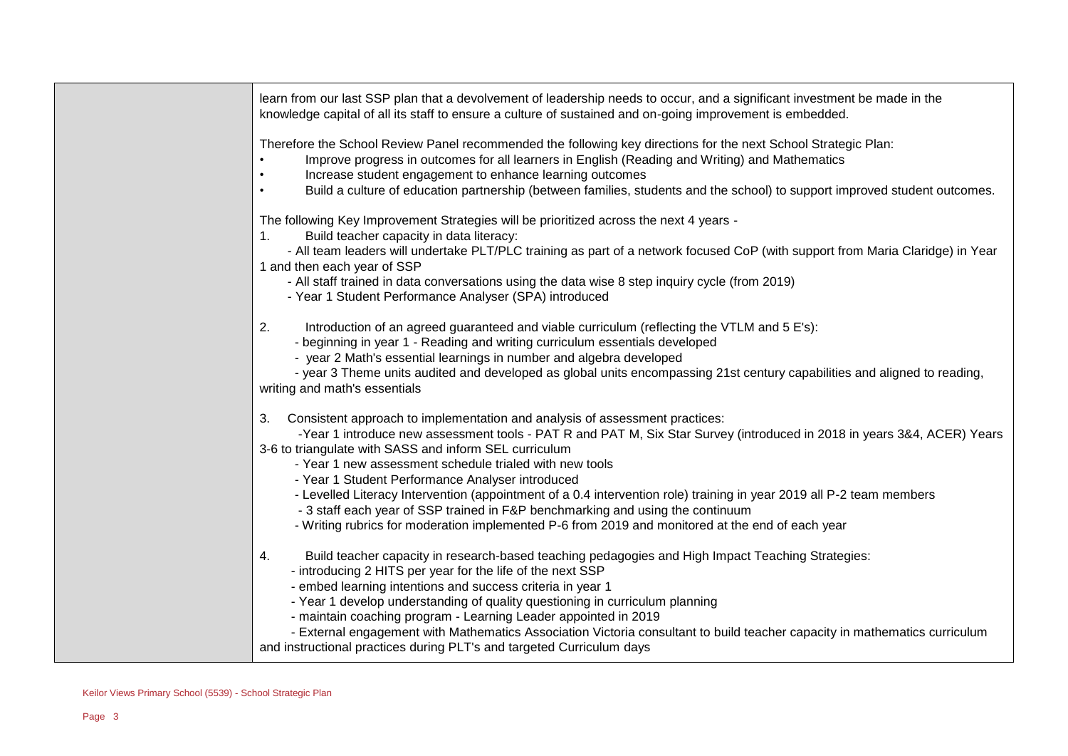| learn from our last SSP plan that a devolvement of leadership needs to occur, and a significant investment be made in the |
|---------------------------------------------------------------------------------------------------------------------------|
| knowledge capital of all its staff to ensure a culture of sustained and on-going improvement is embedded.                 |

Therefore the School Review Panel recommended the following key directions for the next School Strategic Plan:

- Improve progress in outcomes for all learners in English (Reading and Writing) and Mathematics
- Increase student engagement to enhance learning outcomes
- Build a culture of education partnership (between families, students and the school) to support improved student outcomes.

The following Key Improvement Strategies will be prioritized across the next 4 years -

1. Build teacher capacity in data literacy:

 - All team leaders will undertake PLT/PLC training as part of a network focused CoP (with support from Maria Claridge) in Year 1 and then each year of SSP

- All staff trained in data conversations using the data wise 8 step inquiry cycle (from 2019)
- Year 1 Student Performance Analyser (SPA) introduced
- 2. Introduction of an agreed guaranteed and viable curriculum (reflecting the VTLM and 5 E's):
	- beginning in year 1 Reading and writing curriculum essentials developed
	- year 2 Math's essential learnings in number and algebra developed

 - year 3 Theme units audited and developed as global units encompassing 21st century capabilities and aligned to reading, writing and math's essentials

3. Consistent approach to implementation and analysis of assessment practices:

 -Year 1 introduce new assessment tools - PAT R and PAT M, Six Star Survey (introduced in 2018 in years 3&4, ACER) Years 3-6 to triangulate with SASS and inform SEL curriculum

- Year 1 new assessment schedule trialed with new tools
- Year 1 Student Performance Analyser introduced
- Levelled Literacy Intervention (appointment of a 0.4 intervention role) training in year 2019 all P-2 team members
- 3 staff each year of SSP trained in F&P benchmarking and using the continuum
- Writing rubrics for moderation implemented P-6 from 2019 and monitored at the end of each year
- 4. Build teacher capacity in research-based teaching pedagogies and High Impact Teaching Strategies:
	- introducing 2 HITS per year for the life of the next SSP
	- embed learning intentions and success criteria in year 1
	- Year 1 develop understanding of quality questioning in curriculum planning
	- maintain coaching program Learning Leader appointed in 2019
- External engagement with Mathematics Association Victoria consultant to build teacher capacity in mathematics curriculum and instructional practices during PLT's and targeted Curriculum days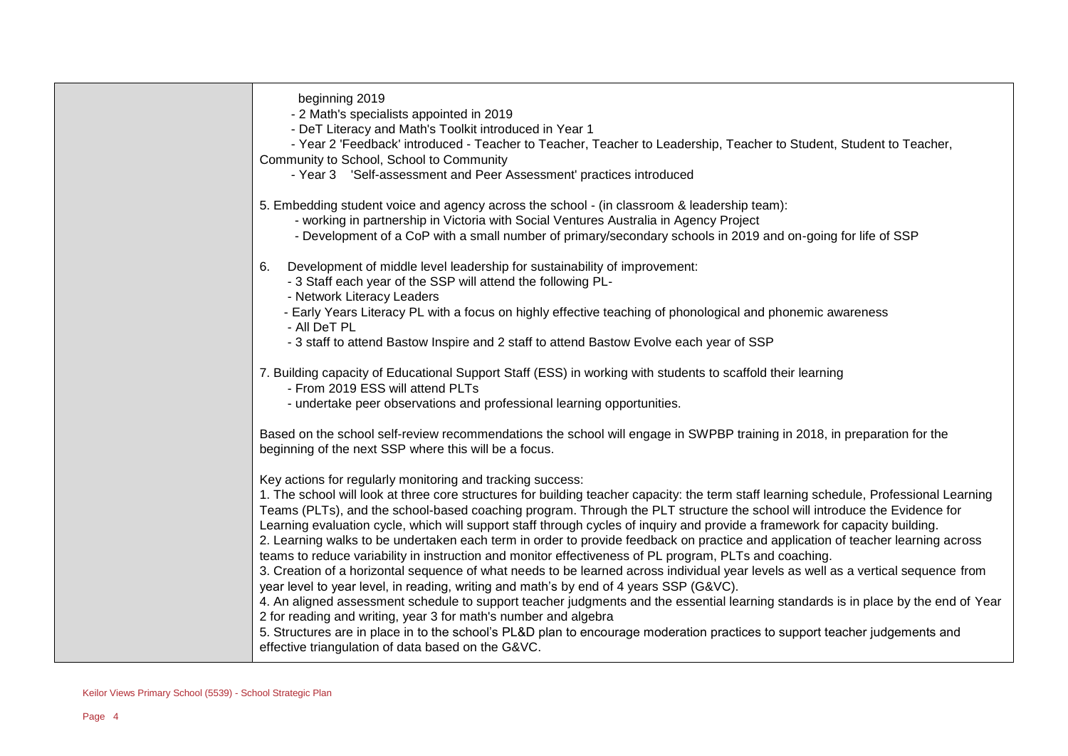| beginning 2019                                                                                                                                                                                        |
|-------------------------------------------------------------------------------------------------------------------------------------------------------------------------------------------------------|
| - 2 Math's specialists appointed in 2019                                                                                                                                                              |
| - DeT Literacy and Math's Toolkit introduced in Year 1                                                                                                                                                |
| - Year 2 'Feedback' introduced - Teacher to Teacher, Teacher to Leadership, Teacher to Student, Student to Teacher,                                                                                   |
| Community to School, School to Community                                                                                                                                                              |
| - Year 3 'Self-assessment and Peer Assessment' practices introduced                                                                                                                                   |
| 5. Embedding student voice and agency across the school - (in classroom & leadership team):                                                                                                           |
| - working in partnership in Victoria with Social Ventures Australia in Agency Project                                                                                                                 |
| - Development of a CoP with a small number of primary/secondary schools in 2019 and on-going for life of SSP                                                                                          |
| Development of middle level leadership for sustainability of improvement:<br>6.                                                                                                                       |
| - 3 Staff each year of the SSP will attend the following PL-                                                                                                                                          |
| - Network Literacy Leaders                                                                                                                                                                            |
| - Early Years Literacy PL with a focus on highly effective teaching of phonological and phonemic awareness<br>- All DeT PL                                                                            |
| - 3 staff to attend Bastow Inspire and 2 staff to attend Bastow Evolve each year of SSP                                                                                                               |
| 7. Building capacity of Educational Support Staff (ESS) in working with students to scaffold their learning<br>- From 2019 ESS will attend PLTs                                                       |
| - undertake peer observations and professional learning opportunities.                                                                                                                                |
| Based on the school self-review recommendations the school will engage in SWPBP training in 2018, in preparation for the                                                                              |
| beginning of the next SSP where this will be a focus.                                                                                                                                                 |
| Key actions for regularly monitoring and tracking success:                                                                                                                                            |
| 1. The school will look at three core structures for building teacher capacity: the term staff learning schedule, Professional Learning                                                               |
| Teams (PLTs), and the school-based coaching program. Through the PLT structure the school will introduce the Evidence for                                                                             |
| Learning evaluation cycle, which will support staff through cycles of inquiry and provide a framework for capacity building.                                                                          |
| 2. Learning walks to be undertaken each term in order to provide feedback on practice and application of teacher learning across                                                                      |
| teams to reduce variability in instruction and monitor effectiveness of PL program, PLTs and coaching.                                                                                                |
| 3. Creation of a horizontal sequence of what needs to be learned across individual year levels as well as a vertical sequence from                                                                    |
| year level to year level, in reading, writing and math's by end of 4 years SSP (G&VC).                                                                                                                |
| 4. An aligned assessment schedule to support teacher judgments and the essential learning standards is in place by the end of Year<br>2 for reading and writing, year 3 for math's number and algebra |
| 5. Structures are in place in to the school's PL&D plan to encourage moderation practices to support teacher judgements and                                                                           |
| effective triangulation of data based on the G&VC.                                                                                                                                                    |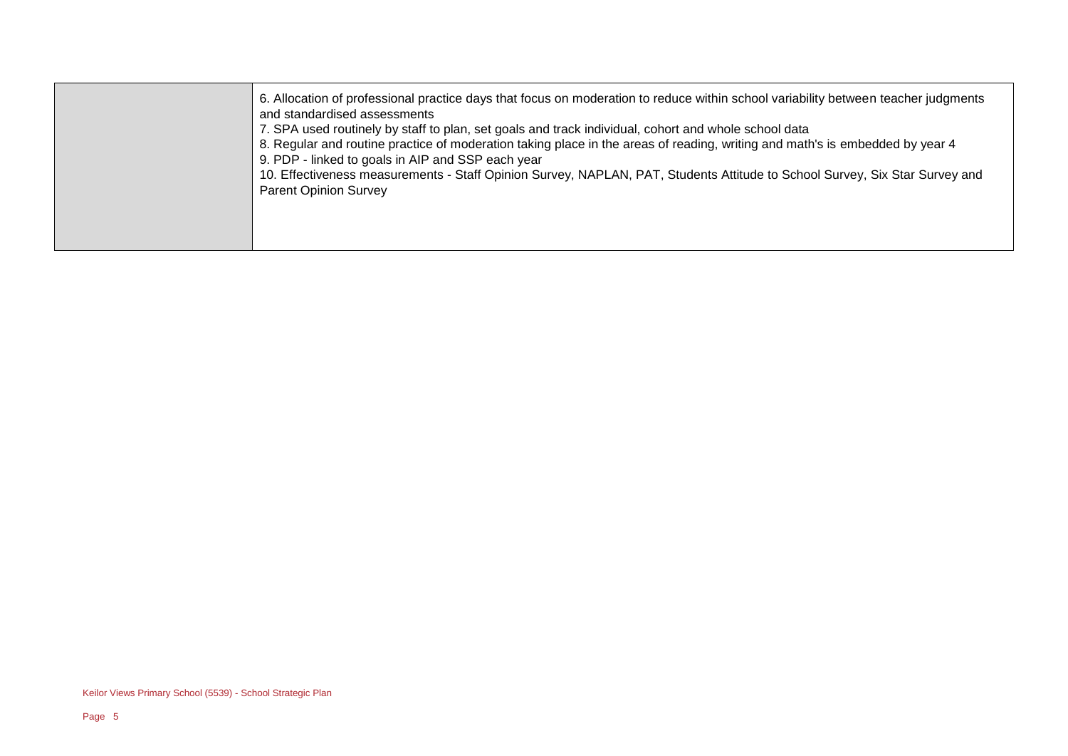| 6. Allocation of professional practice days that focus on moderation to reduce within school variability between teacher judgments<br>and standardised assessments<br>7. SPA used routinely by staff to plan, set goals and track individual, cohort and whole school data                                       |
|------------------------------------------------------------------------------------------------------------------------------------------------------------------------------------------------------------------------------------------------------------------------------------------------------------------|
| 8. Regular and routine practice of moderation taking place in the areas of reading, writing and math's is embedded by year 4<br>9. PDP - linked to goals in AIP and SSP each year<br>10. Effectiveness measurements - Staff Opinion Survey, NAPLAN, PAT, Students Attitude to School Survey, Six Star Survey and |
| <b>Parent Opinion Survey</b>                                                                                                                                                                                                                                                                                     |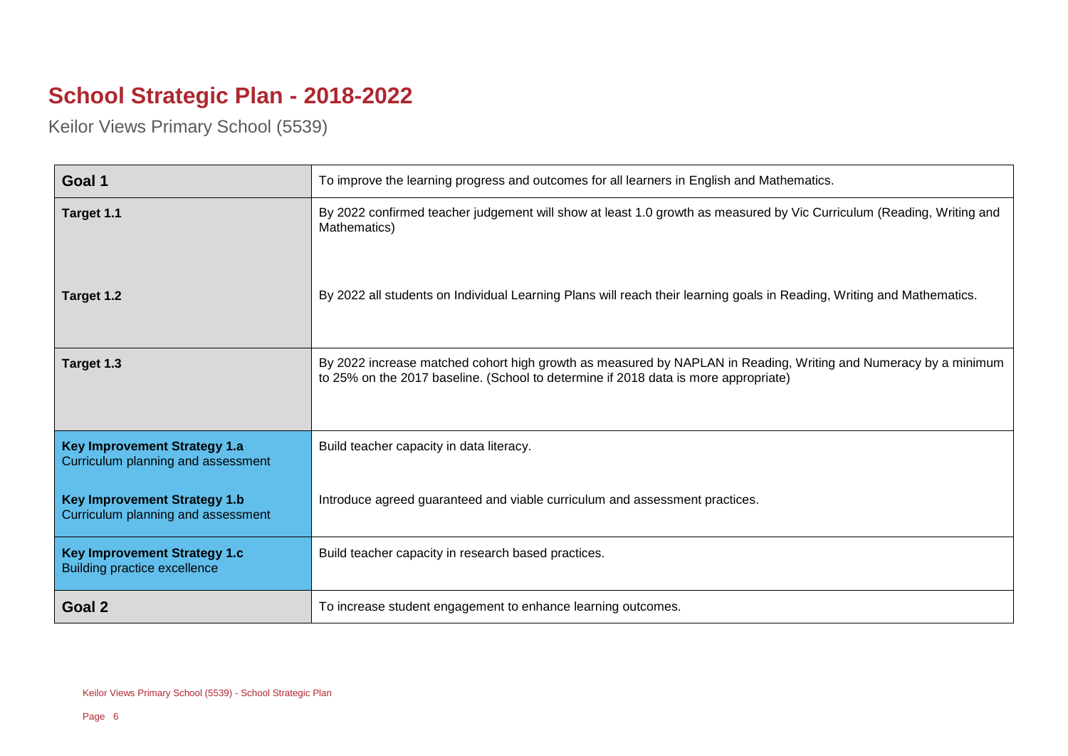## **School Strategic Plan - 2018-2022**

Keilor Views Primary School (5539)

| Goal 1                                                                     | To improve the learning progress and outcomes for all learners in English and Mathematics.                                                                                                             |
|----------------------------------------------------------------------------|--------------------------------------------------------------------------------------------------------------------------------------------------------------------------------------------------------|
| Target 1.1                                                                 | By 2022 confirmed teacher judgement will show at least 1.0 growth as measured by Vic Curriculum (Reading, Writing and<br>Mathematics)                                                                  |
| Target 1.2                                                                 | By 2022 all students on Individual Learning Plans will reach their learning goals in Reading, Writing and Mathematics.                                                                                 |
| Target 1.3                                                                 | By 2022 increase matched cohort high growth as measured by NAPLAN in Reading, Writing and Numeracy by a minimum<br>to 25% on the 2017 baseline. (School to determine if 2018 data is more appropriate) |
| <b>Key Improvement Strategy 1.a</b><br>Curriculum planning and assessment  | Build teacher capacity in data literacy.                                                                                                                                                               |
| <b>Key Improvement Strategy 1.b</b><br>Curriculum planning and assessment  | Introduce agreed guaranteed and viable curriculum and assessment practices.                                                                                                                            |
| <b>Key Improvement Strategy 1.c</b><br><b>Building practice excellence</b> | Build teacher capacity in research based practices.                                                                                                                                                    |
| Goal 2                                                                     | To increase student engagement to enhance learning outcomes.                                                                                                                                           |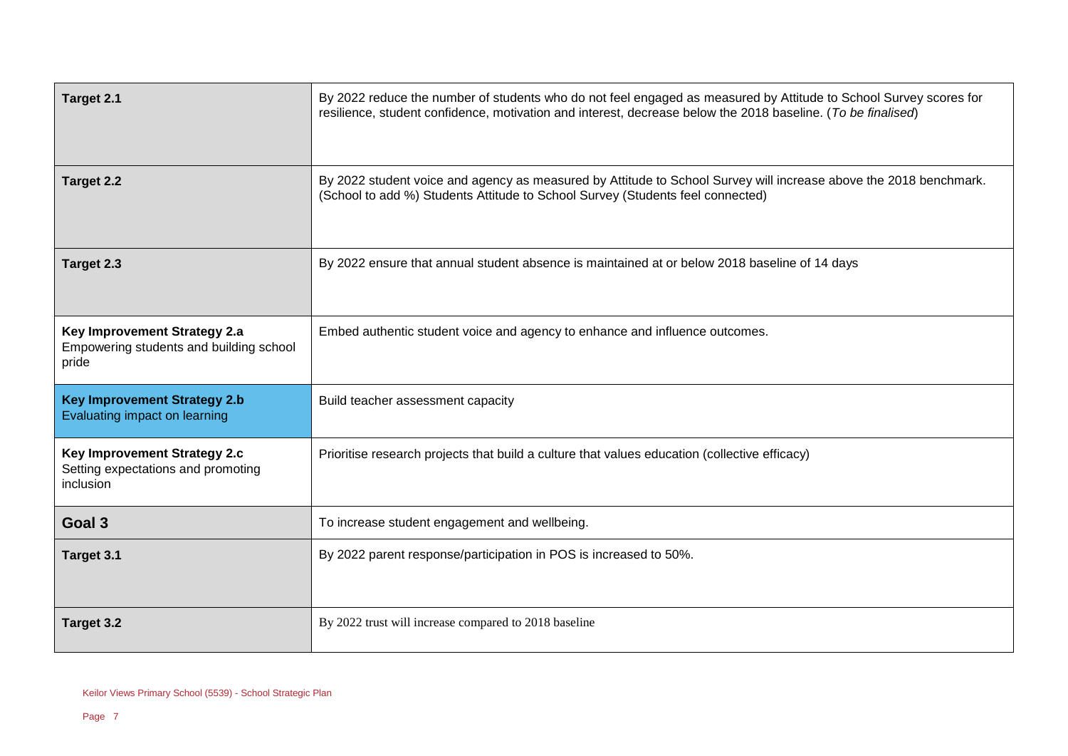| Target 2.1                                                                       | By 2022 reduce the number of students who do not feel engaged as measured by Attitude to School Survey scores for<br>resilience, student confidence, motivation and interest, decrease below the 2018 baseline. (To be finalised) |
|----------------------------------------------------------------------------------|-----------------------------------------------------------------------------------------------------------------------------------------------------------------------------------------------------------------------------------|
| Target 2.2                                                                       | By 2022 student voice and agency as measured by Attitude to School Survey will increase above the 2018 benchmark.<br>(School to add %) Students Attitude to School Survey (Students feel connected)                               |
| Target 2.3                                                                       | By 2022 ensure that annual student absence is maintained at or below 2018 baseline of 14 days                                                                                                                                     |
| Key Improvement Strategy 2.a<br>Empowering students and building school<br>pride | Embed authentic student voice and agency to enhance and influence outcomes.                                                                                                                                                       |
| <b>Key Improvement Strategy 2.b</b><br>Evaluating impact on learning             | Build teacher assessment capacity                                                                                                                                                                                                 |
| Key Improvement Strategy 2.c<br>Setting expectations and promoting<br>inclusion  | Prioritise research projects that build a culture that values education (collective efficacy)                                                                                                                                     |
| Goal 3                                                                           | To increase student engagement and wellbeing.                                                                                                                                                                                     |
| Target 3.1                                                                       | By 2022 parent response/participation in POS is increased to 50%.                                                                                                                                                                 |
| Target 3.2                                                                       | By 2022 trust will increase compared to 2018 baseline                                                                                                                                                                             |